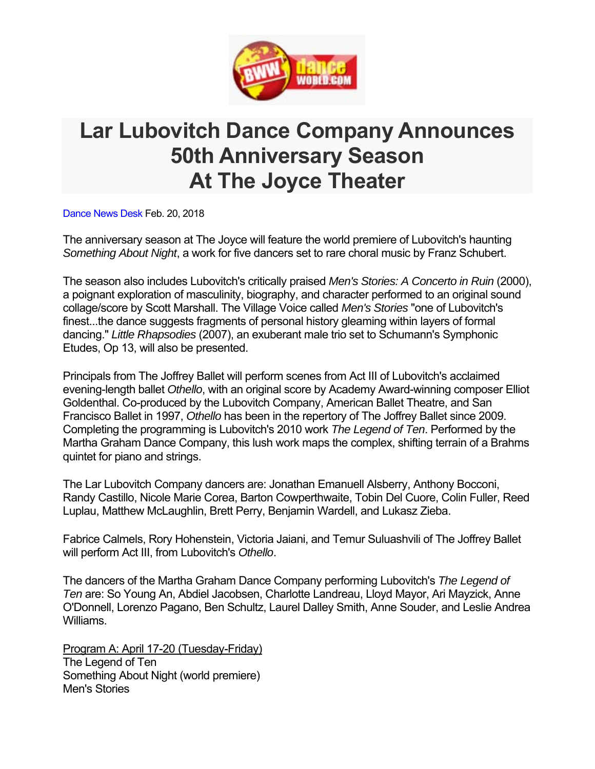

## **Lar Lubovitch Dance Company Announces 50th Anniversary Season At The Joyce Theater**

Dance News Desk Feb. 20, 2018

The anniversary season at The Joyce will feature the world premiere of Lubovitch's haunting *Something About Night*, a work for five dancers set to rare choral music by Franz Schubert.

The season also includes Lubovitch's critically praised *Men's Stories: A Concerto in Ruin* (2000), a poignant exploration of masculinity, biography, and character performed to an original sound collage/score by Scott Marshall. The Village Voice called *Men's Stories* "one of Lubovitch's finest...the dance suggests fragments of personal history gleaming within layers of formal dancing." *Little Rhapsodies* (2007), an exuberant male trio set to Schumann's Symphonic Etudes, Op 13, will also be presented.

Principals from The Joffrey Ballet will perform scenes from Act III of Lubovitch's acclaimed evening-length ballet *Othello*, with an original score by Academy Award-winning composer Elliot Goldenthal. Co-produced by the Lubovitch Company, American Ballet Theatre, and San Francisco Ballet in 1997, *Othello* has been in the repertory of The Joffrey Ballet since 2009. Completing the programming is Lubovitch's 2010 work *The Legend of Ten*. Performed by the Martha Graham Dance Company, this lush work maps the complex, shifting terrain of a Brahms quintet for piano and strings.

The Lar Lubovitch Company dancers are: Jonathan Emanuell Alsberry, Anthony Bocconi, Randy Castillo, Nicole Marie Corea, Barton Cowperthwaite, Tobin Del Cuore, Colin Fuller, Reed Luplau, Matthew McLaughlin, Brett Perry, Benjamin Wardell, and Lukasz Zieba.

Fabrice Calmels, Rory Hohenstein, Victoria Jaiani, and Temur Suluashvili of The Joffrey Ballet will perform Act III, from Lubovitch's *Othello*.

The dancers of the Martha Graham Dance Company performing Lubovitch's *The Legend of Ten* are: So Young An, Abdiel Jacobsen, Charlotte Landreau, Lloyd Mayor, Ari Mayzick, Anne O'Donnell, Lorenzo Pagano, Ben Schultz, Laurel Dalley Smith, Anne Souder, and Leslie Andrea Williams.

Program A: April 17-20 (Tuesday-Friday) The Legend of Ten Something About Night (world premiere) Men's Stories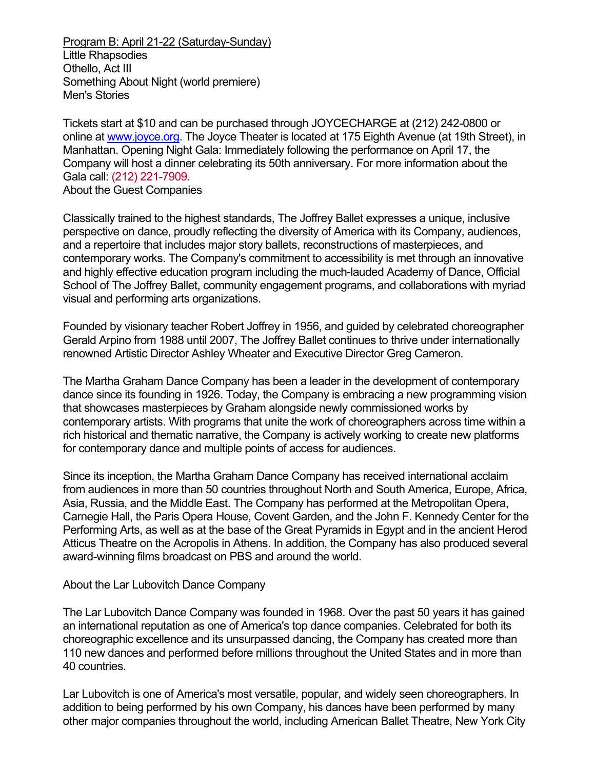Program B: April 21-22 (Saturday-Sunday) Little Rhapsodies Othello, Act III Something About Night (world premiere) Men's Stories

Tickets start at \$10 and can be purchased through JOYCECHARGE at (212) 242-0800 or online at www.joyce.org. The Joyce Theater is located at 175 Eighth Avenue (at 19th Street), in Manhattan. Opening Night Gala: Immediately following the performance on April 17, the Company will host a dinner celebrating its 50th anniversary. For more information about the Gala call: (212) 221-7909. About the Guest Companies

Classically trained to the highest standards, The Joffrey Ballet expresses a unique, inclusive perspective on dance, proudly reflecting the diversity of America with its Company, audiences, and a repertoire that includes major story ballets, reconstructions of masterpieces, and contemporary works. The Company's commitment to accessibility is met through an innovative and highly effective education program including the much-lauded Academy of Dance, Official School of The Joffrey Ballet, community engagement programs, and collaborations with myriad visual and performing arts organizations.

Founded by visionary teacher Robert Joffrey in 1956, and guided by celebrated choreographer Gerald Arpino from 1988 until 2007, The Joffrey Ballet continues to thrive under internationally renowned Artistic Director Ashley Wheater and Executive Director Greg Cameron.

The Martha Graham Dance Company has been a leader in the development of contemporary dance since its founding in 1926. Today, the Company is embracing a new programming vision that showcases masterpieces by Graham alongside newly commissioned works by contemporary artists. With programs that unite the work of choreographers across time within a rich historical and thematic narrative, the Company is actively working to create new platforms for contemporary dance and multiple points of access for audiences.

Since its inception, the Martha Graham Dance Company has received international acclaim from audiences in more than 50 countries throughout North and South America, Europe, Africa, Asia, Russia, and the Middle East. The Company has performed at the Metropolitan Opera, Carnegie Hall, the Paris Opera House, Covent Garden, and the John F. Kennedy Center for the Performing Arts, as well as at the base of the Great Pyramids in Egypt and in the ancient Herod Atticus Theatre on the Acropolis in Athens. In addition, the Company has also produced several award-winning films broadcast on PBS and around the world.

## About the Lar Lubovitch Dance Company

The Lar Lubovitch Dance Company was founded in 1968. Over the past 50 years it has gained an international reputation as one of America's top dance companies. Celebrated for both its choreographic excellence and its unsurpassed dancing, the Company has created more than 110 new dances and performed before millions throughout the United States and in more than 40 countries.

Lar Lubovitch is one of America's most versatile, popular, and widely seen choreographers. In addition to being performed by his own Company, his dances have been performed by many other major companies throughout the world, including American Ballet Theatre, New York City